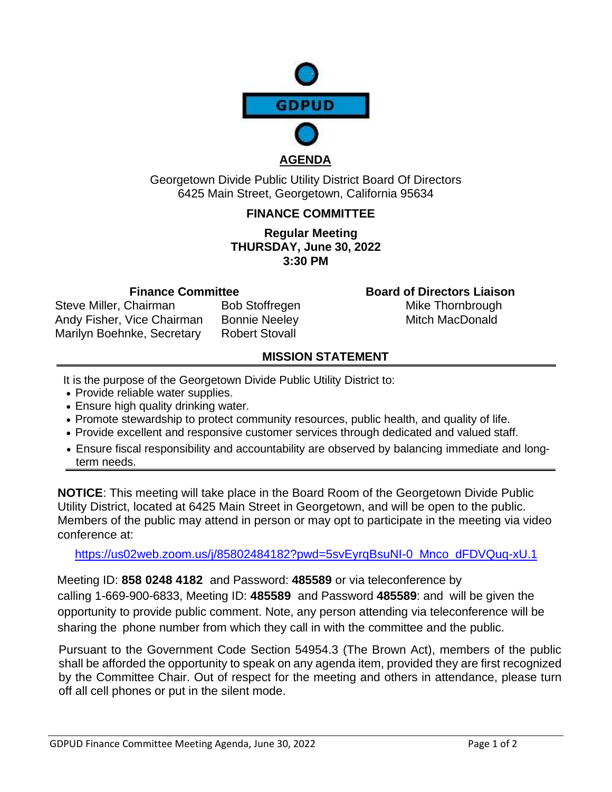

#### **AGENDA**

Georgetown Divide Public Utility District Board Of Directors 6425 Main Street, Georgetown, California 95634

#### **FINANCE COMMITTEE**

#### **Regular Meeting THURSDAY, June 30, 2022 3:30 PM**

Steve Miller, Chairman Bob Stoffregen Mike Thornbrough Andy Fisher, Vice Chairman Bonnie Neeley Mitch MacDonald Marilyn Boehnke, Secretary Robert Stovall

**Finance Committee Board of Directors Liaison**

# **MISSION STATEMENT**

- It is the purpose of the Georgetown Divide Public Utility District to:
- Provide reliable water supplies.
- Ensure high quality drinking water.
- Promote stewardship to protect community resources, public health, and quality of life.
- Provide excellent and responsive customer services through dedicated and valued staff.
- Ensure fiscal responsibility and accountability are observed by balancing immediate and longterm needs.

**NOTICE**: This meeting will take place in the Board Room of the Georgetown Divide Public Utility District, located at 6425 Main Street in Georgetown, and will be open to the public. Members of the public may attend in person or may opt to participate in the meeting via video conference at:

[https://us02web.zoom.us/j/85802484182?pwd=5svEyrqBsuNI-0\\_Mnco\\_dFDVQuq-xU.1](https://us02web.zoom.us/j/85802484182?pwd=5svEyrqBsuNI-0_Mnco_dFDVQuq-xU.1)

Meeting ID: **858 0248 4182** and Password: **485589** or via teleconference by calling 1-669-900-6833, Meeting ID: **485589** and Password **485589**: and will be given the opportunity to provide public comment. Note, any person attending via teleconference will be sharing the phone number from which they call in with the committee and the public.

Pursuant to the Government Code Section 54954.3 (The Brown Act), members of the public shall be afforded the opportunity to speak on any agenda item, provided they are first recognized by the Committee Chair. Out of respect for the meeting and others in attendance, please turn off all cell phones or put in the silent mode.